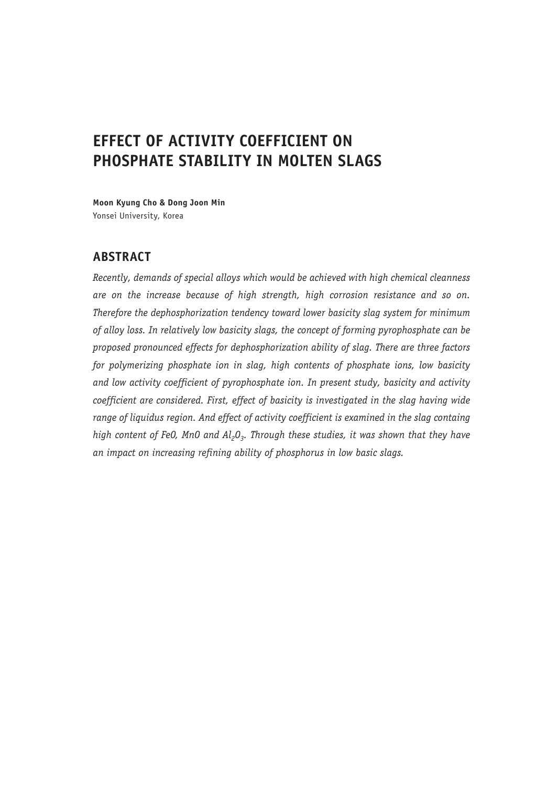# **EFFECT OF ACTIVITY COEFFICIENT ON PHOSPHATE STABILITY IN MOLTEN SLAGS**

**Moon Kyung Cho & Dong Joon Min** Yonsei University, Korea

# **ABSTRACT**

*Recently, demands of special alloys which would be achieved with high chemical cleanness are on the increase because of high strength, high corrosion resistance and so on. Therefore the dephosphorization tendency toward lower basicity slag system for minimum of alloy loss. In relatively low basicity slags, the concept of forming pyrophosphate can be proposed pronounced effects for dephosphorization ability of slag. There are three factors for polymerizing phosphate ion in slag, high contents of phosphate ions, low basicity and low activity coefficient of pyrophosphate ion. In present study, basicity and activity coefficient are considered. First, effect of basicity is investigated in the slag having wide*  range of liquidus region. And effect of activity coefficient is examined in the slag containg high content of FeO, MnO and Al<sub>2</sub>O<sub>3</sub>. Through these studies, it was shown that they have *an impact on increasing refining ability of phosphorus in low basic slags.*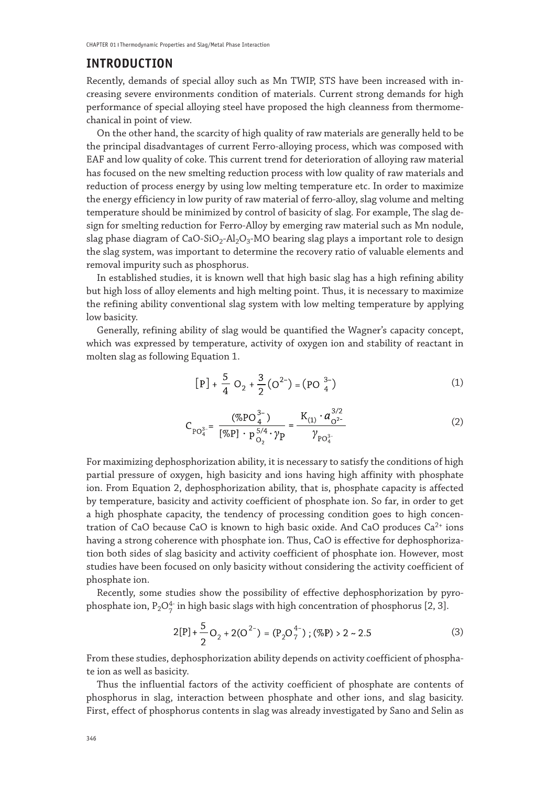## **INTRODUCTION**

Recently, demands of special alloy such as Mn TWIP, STS have been increased with increasing severe environments condition of materials. Current strong demands for high performance of special alloying steel have proposed the high cleanness from thermomechanical in point of view.

On the other hand, the scarcity of high quality of raw materials are generally held to be the principal disadvantages of current Ferro-alloying process, which was composed with EAF and low quality of coke. This current trend for deterioration of alloying raw material has focused on the new smelting reduction process with low quality of raw materials and reduction of process energy by using low melting temperature etc. In order to maximize the energy efficiency in low purity of raw material of ferro-alloy, slag volume and melting temperature should be minimized by control of basicity of slag. For example, The slag design for smelting reduction for Ferro-Alloy by emerging raw material such as Mn nodule, slag phase diagram of CaO-SiO<sub>2</sub>-Al<sub>2</sub>O<sub>3</sub>-MO bearing slag plays a important role to design the slag system, was important to determine the recovery ratio of valuable elements and removal impurity such as phosphorus.

In established studies, it is known well that high basic slag has a high refining ability but high loss of alloy elements and high melting point. Thus, it is necessary to maximize the refining ability conventional slag system with low melting temperature by applying low basicity.

Generally, refining ability of slag would be quantified the Wagner's capacity concept, which was expressed by temperature, activity of oxygen ion and stability of reactant in molten slag as following Equation 1.

$$
[P] + \frac{5}{4} O_2 + \frac{3}{2} (O^{2-}) = (PO_{4}^{3-})
$$
 (1)

$$
C_{PO_4^{3-}} = \frac{(\%PO_4^{3-})}{[\%P] \cdot P_{O_2}^{5/4} \cdot \gamma_P} = \frac{K_{(1)} \cdot a_{O^{2-}}^{3/2}}{\gamma_{PO_4^{3-}}} \tag{2}
$$

For maximizing dephosphorization ability, it is necessary to satisfy the conditions of high partial pressure of oxygen, high basicity and ions having high affinity with phosphate ion. From Equation 2, dephosphorization ability, that is, phosphate capacity is affected by temperature, basicity and activity coefficient of phosphate ion. So far, in order to get a high phosphate capacity, the tendency of processing condition goes to high concentration of CaO because CaO is known to high basic oxide. And CaO produces  $Ca^{2+}$  ions having a strong coherence with phosphate ion. Thus, CaO is effective for dephosphorization both sides of slag basicity and activity coefficient of phosphate ion. However, most studies have been focused on only basicity without considering the activity coefficient of phosphate ion.

Recently, some studies show the possibility of effective dephosphorization by pyrophosphate ion,  $P_2O_7^4$  in high basic slags with high concentration of phosphorus [2, 3].

$$
2[P] + \frac{5}{2}O_2 + 2(O^{2-}) = (P_2O_7^{4-}) ; (\%P) > 2 \sim 2.5
$$
 (3)

From these studies, dephosphorization ability depends on activity coefficient of phosphate ion as well as basicity.

Thus the influential factors of the activity coefficient of phosphate are contents of phosphorus in slag, interaction between phosphate and other ions, and slag basicity. First, effect of phosphorus contents in slag was already investigated by Sano and Selin as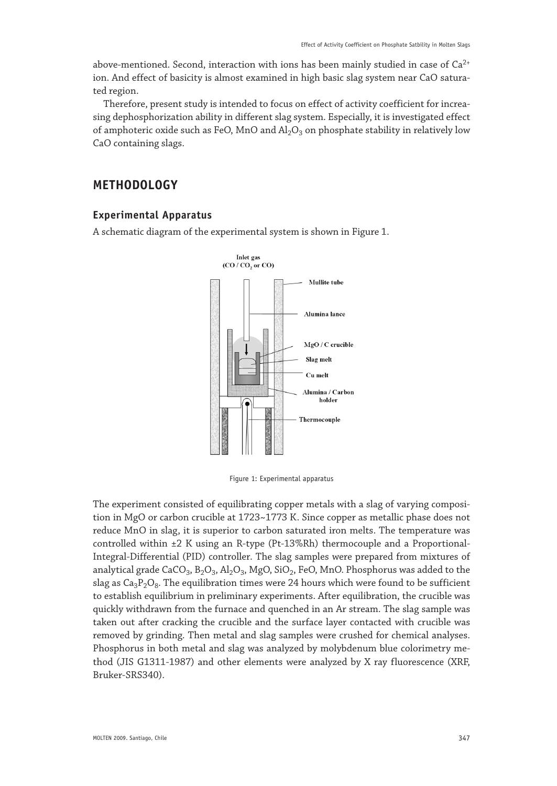above-mentioned. Second, interaction with ions has been mainly studied in case of  $Ca^{2+}$ ion. And effect of basicity is almost examined in high basic slag system near CaO saturated region.

Therefore, present study is intended to focus on effect of activity coefficient for increasing dephosphorization ability in different slag system. Especially, it is investigated effect of amphoteric oxide such as FeO, MnO and  $Al_2O_3$  on phosphate stability in relatively low CaO containing slags.

# **METHODOLOGY**

## **Experimental Apparatus**

A schematic diagram of the experimental system is shown in Figure 1.



Figure 1: Experimental apparatus

The experiment consisted of equilibrating copper metals with a slag of varying composition in MgO or carbon crucible at 1723~1773 K. Since copper as metallic phase does not reduce MnO in slag, it is superior to carbon saturated iron melts. The temperature was controlled within ±2 K using an R-type (Pt-13%Rh) thermocouple and a Proportional-Integral-Differential (PID) controller. The slag samples were prepared from mixtures of analytical grade  $CaCO<sub>3</sub>$ ,  $B<sub>2</sub>O<sub>3</sub>$ ,  $Al<sub>2</sub>O<sub>3</sub>$ ,  $MgO$ ,  $SiO<sub>2</sub>$ , FeO, MnO. Phosphorus was added to the slag as  $Ca_3P_2O_8$ . The equilibration times were 24 hours which were found to be sufficient to establish equilibrium in preliminary experiments. After equilibration, the crucible was quickly withdrawn from the furnace and quenched in an Ar stream. The slag sample was taken out after cracking the crucible and the surface layer contacted with crucible was removed by grinding. Then metal and slag samples were crushed for chemical analyses. Phosphorus in both metal and slag was analyzed by molybdenum blue colorimetry method (JIS G1311-1987) and other elements were analyzed by X ray fluorescence (XRF, Bruker-SRS340).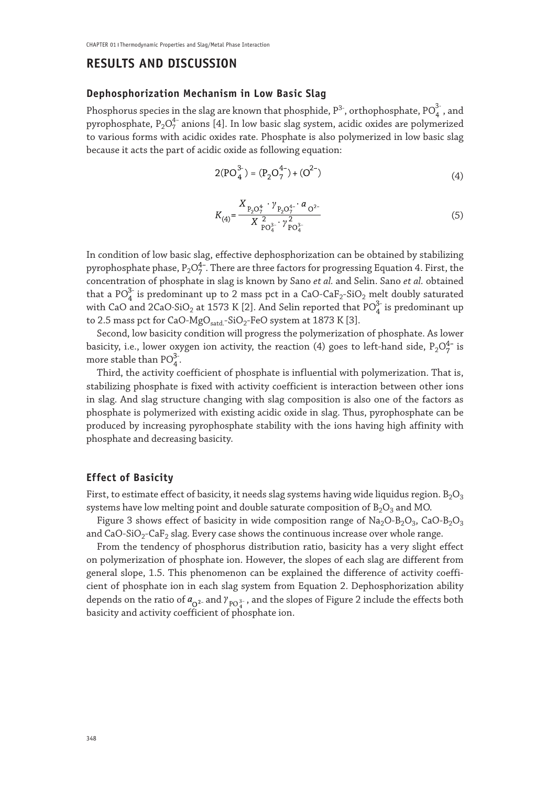## **RESULTS AND DISCUSSION**

#### **Dephosphorization Mechanism in Low Basic Slag**

Phosphorus species in the slag are known that phosphide,  $\rm P^{3-}$  , orthophosphate,  $\rm PO_{\it a}^{\it 3-}$  , and pyrophosphate,  $P_2O_7^{4-}$  anions [4]. In low basic slag system, acidic oxides are polymerized to various forms with acidic oxides rate. Phosphate is also polymerized in low basic slag because it acts the part of acidic oxide as following equation:

$$
2(PO_4^{3-}) = (P_2O_7^{4-}) + (O^{2-})
$$
\n(4)

$$
K_{(4)} = \frac{X_{P_2O_7^4} \cdot \gamma_{P_2O_7^4} \cdot a_{O^2}}{X_{PO_4^3}^2 \cdot \gamma_{PO_4^3}^2} \tag{5}
$$

In condition of low basic slag, effective dephosphorization can be obtained by stabilizing pyrophosphate phase,  $P_2O_7^{4-}$ . There are three factors for progressing Equation 4. First, the concentration of phosphate in slag is known by Sano *et al.* and Selin. Sano *et al.* obtained that a PO $_4^3$  is predominant up to 2 mass pct in a CaO-Ca $F_2$ -SiO<sub>2</sub> melt doubly saturated with CaO and 2CaO∙SiO<sub>2</sub> at 1573 K [2]. And Selin reported that PO $_4^3$  is predominant up to 2.5 mass pct for CaO-MgO<sub>satd</sub>-SiO<sub>2</sub>-FeO system at 1873 K [3].

Second, low basicity condition will progress the polymerization of phosphate. As lower basicity, i.e., lower oxygen ion activity, the reaction (4) goes to left-hand side,  $P_2O_7^{4-}$  is more stable than  $PO_{4}^{3}$ .

Third, the activity coefficient of phosphate is influential with polymerization. That is, stabilizing phosphate is fixed with activity coefficient is interaction between other ions in slag. And slag structure changing with slag composition is also one of the factors as phosphate is polymerized with existing acidic oxide in slag. Thus, pyrophosphate can be produced by increasing pyrophosphate stability with the ions having high affinity with phosphate and decreasing basicity.

## **Effect of Basicity**

First, to estimate effect of basicity, it needs slag systems having wide liquidus region.  $B_2O_3$ systems have low melting point and double saturate composition of  $B_2O_3$  and MO.

Figure 3 shows effect of basicity in wide composition range of  $Na<sub>2</sub>O-B<sub>2</sub>O<sub>3</sub>$ , CaO-B<sub>2</sub>O<sub>3</sub> and  $CaO-SiO<sub>2</sub>-CaF<sub>2</sub>$  slag. Every case shows the continuous increase over whole range.

From the tendency of phosphorus distribution ratio, basicity has a very slight effect on polymerization of phosphate ion. However, the slopes of each slag are different from general slope, 1.5. This phenomenon can be explained the difference of activity coefficient of phosphate ion in each slag system from Equation 2. Dephosphorization ability depends on the ratio of  $a_0^2$  and  $\gamma_{\text{PO}_A^{3-}}$ , and the slopes of Figure 2 include the effects both basicity and activity coefficient of phosphate ion.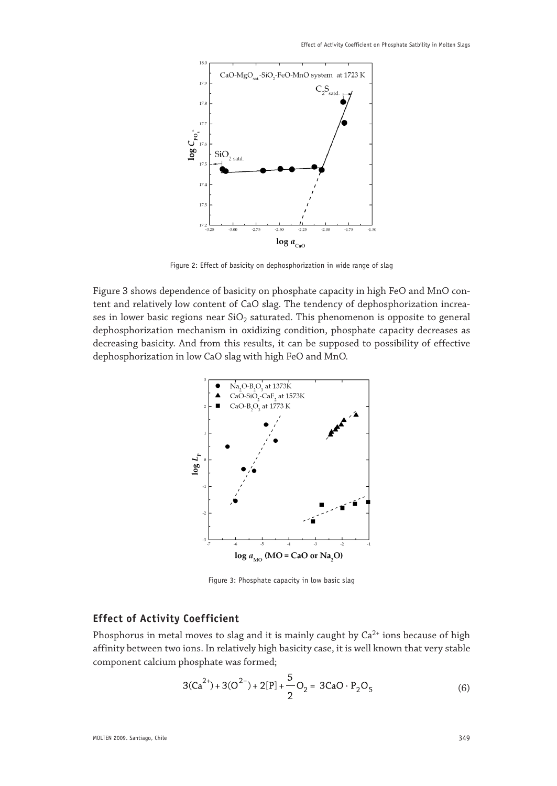

Figure 2: Effect of basicity on dephosphorization in wide range of slag

Figure 3 shows dependence of basicity on phosphate capacity in high FeO and MnO content and relatively low content of CaO slag. The tendency of dephosphorization increases in lower basic regions near  $SiO<sub>2</sub>$  saturated. This phenomenon is opposite to general dephosphorization mechanism in oxidizing condition, phosphate capacity decreases as decreasing basicity. And from this results, it can be supposed to possibility of effective dephosphorization in low CaO slag with high FeO and MnO.



Figure 3: Phosphate capacity in low basic slag

### **Effect of Activity Coefficient**

Phosphorus in metal moves to slag and it is mainly caught by  $Ca^{2+}$  ions because of high affinity between two ions. In relatively high basicity case, it is well known that very stable component calcium phosphate was formed;

$$
3(Ca^{2+}) + 3(O^{2-}) + 2[P] + \frac{5}{2}O_2 = 3CaO \cdot P_2O_5
$$
 (6)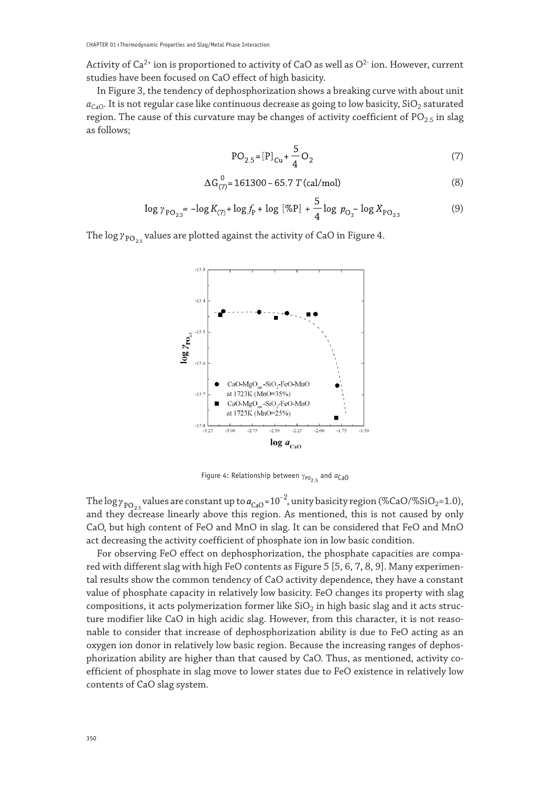Activity of  $Ca^{2+}$  ion is proportioned to activity of CaO as well as  $O^{2-}$  ion. However, current studies have been focused on CaO effect of high basicity.

In Figure 3, the tendency of dephosphorization shows a breaking curve with about unit  $a_{\text{CaO}}$ . It is not regular case like continuous decrease as going to low basicity, SiO<sub>2</sub> saturated region. The cause of this curvature may be changes of activity coefficient of  $PO_{2.5}$  in slag as follows;

$$
PO_{2.5} = [P]_{Cu} + \frac{5}{4}O_2
$$
 (7)

$$
\Delta G_{(7)}^0 = 161300 - 65.7 T \text{ (cal/mol)}\tag{8}
$$

$$
\log \gamma_{\rm PO_{2.5}} = -\log K_{(7)} + \log f_{\rm P} + \log \left[ \% {\rm P} \right] + \frac{5}{4} \log \, p_{\rm O_2} - \log X_{\rm PO_{2.5}} \tag{9}
$$

The log  $\gamma_{\text{PO}_{25}}$  values are plotted against the activity of CaO in Figure 4.



Figure 4: Relationship between  $\gamma_{P025}$  and  $a_{CaO}$ 

The log  $\gamma_{\rm PO_{2.5}}$  values are constant up to  $a_{\rm CaO} \approx 10^{-2}$ , unity basicity region (%CaO/%SiO<sub>2</sub>≈1.0), and they decrease linearly above this region. As mentioned, this is not caused by only CaO, but high content of FeO and MnO in slag. It can be considered that FeO and MnO act decreasing the activity coefficient of phosphate ion in low basic condition.

For observing FeO effect on dephosphorization, the phosphate capacities are compared with different slag with high FeO contents as Figure 5 [5, 6, 7, 8, 9]. Many experimental results show the common tendency of CaO activity dependence, they have a constant value of phosphate capacity in relatively low basicity. FeO changes its property with slag compositions, it acts polymerization former like  $SiO<sub>2</sub>$  in high basic slag and it acts structure modifier like CaO in high acidic slag. However, from this character, it is not reasonable to consider that increase of dephosphorization ability is due to FeO acting as an oxygen ion donor in relatively low basic region. Because the increasing ranges of dephosphorization ability are higher than that caused by CaO. Thus, as mentioned, activity coefficient of phosphate in slag move to lower states due to FeO existence in relatively low contents of CaO slag system.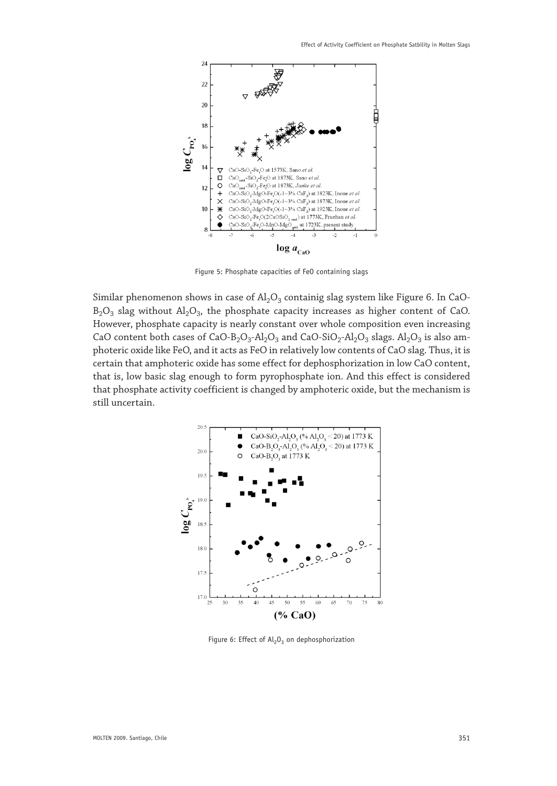

Figure 5: Phosphate capacities of FeO containing slags

Similar phenomenon shows in case of  $Al_2O_3$  containig slag system like Figure 6. In CaO- $B_2O_3$  slag without  $Al_2O_3$ , the phosphate capacity increases as higher content of CaO. However, phosphate capacity is nearly constant over whole composition even increasing CaO content both cases of CaO-B<sub>2</sub>O<sub>3</sub>-Al<sub>2</sub>O<sub>3</sub> and CaO-SiO<sub>2</sub>-Al<sub>2</sub>O<sub>3</sub> slags. Al<sub>2</sub>O<sub>3</sub> is also amphoteric oxide like FeO, and it acts as FeO in relatively low contents of CaO slag. Thus, it is certain that amphoteric oxide has some effect for dephosphorization in low CaO content, that is, low basic slag enough to form pyrophosphate ion. And this effect is considered that phosphate activity coefficient is changed by amphoteric oxide, but the mechanism is still uncertain.



Figure 6: Effect of  $Al_2O_2$  on dephosphorization